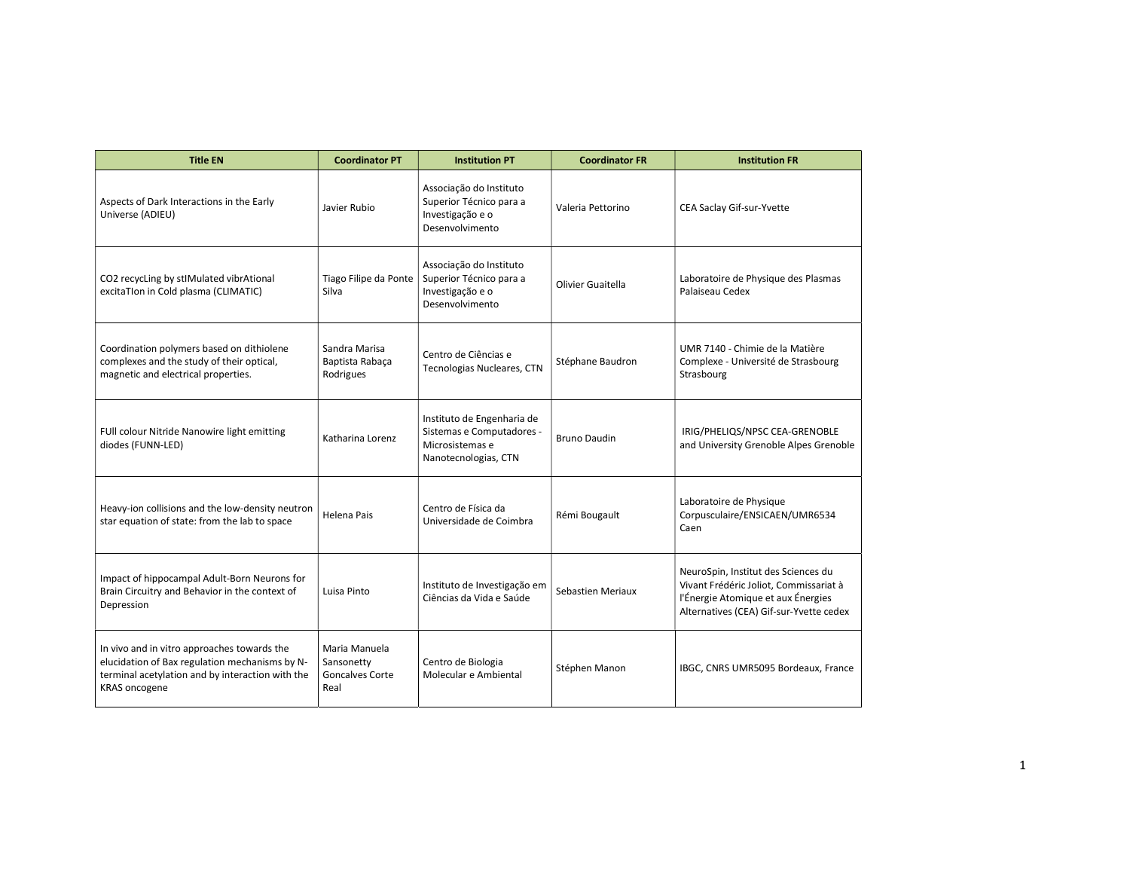| <b>Title EN</b>                                                                                                                                                           | <b>Coordinator PT</b>                                         | <b>Institution PT</b>                                                                              | <b>Coordinator FR</b> | <b>Institution FR</b>                                                                                                                                          |
|---------------------------------------------------------------------------------------------------------------------------------------------------------------------------|---------------------------------------------------------------|----------------------------------------------------------------------------------------------------|-----------------------|----------------------------------------------------------------------------------------------------------------------------------------------------------------|
| Aspects of Dark Interactions in the Early<br>Universe (ADIEU)                                                                                                             | Javier Rubio                                                  | Associação do Instituto<br>Superior Técnico para a<br>Investigação e o<br>Desenvolvimento          | Valeria Pettorino     | CEA Saclay Gif-sur-Yvette                                                                                                                                      |
| CO2 recycLing by stIMulated vibrAtional<br>excitaTIon in Cold plasma (CLIMATIC)                                                                                           | Tiago Filipe da Ponte<br>Silva                                | Associação do Instituto<br>Superior Técnico para a<br>Investigação e o<br>Desenvolvimento          | Olivier Guaitella     | Laboratoire de Physique des Plasmas<br>Palaiseau Cedex                                                                                                         |
| Coordination polymers based on dithiolene<br>complexes and the study of their optical,<br>magnetic and electrical properties.                                             | Sandra Marisa<br>Baptista Rabaça<br>Rodrigues                 | Centro de Ciências e<br>Tecnologias Nucleares, CTN                                                 | Stéphane Baudron      | UMR 7140 - Chimie de la Matière<br>Complexe - Université de Strasbourg<br>Strasbourg                                                                           |
| FUII colour Nitride Nanowire light emitting<br>diodes (FUNN-LED)                                                                                                          | Katharina Lorenz                                              | Instituto de Engenharia de<br>Sistemas e Computadores -<br>Microsistemas e<br>Nanotecnologias, CTN | Bruno Daudin          | IRIG/PHELIQS/NPSC CEA-GRENOBLE<br>and University Grenoble Alpes Grenoble                                                                                       |
| Heavy-ion collisions and the low-density neutron<br>star equation of state: from the lab to space                                                                         | Helena Pais                                                   | Centro de Física da<br>Universidade de Coimbra                                                     | Rémi Bougault         | Laboratoire de Physique<br>Corpusculaire/ENSICAEN/UMR6534<br>Caen                                                                                              |
| Impact of hippocampal Adult-Born Neurons for<br>Brain Circuitry and Behavior in the context of<br>Depression                                                              | Luisa Pinto                                                   | Instituto de Investigação em<br>Ciências da Vida e Saúde                                           | Sebastien Meriaux     | NeuroSpin, Institut des Sciences du<br>Vivant Frédéric Joliot, Commissariat à<br>l'Énergie Atomique et aux Énergies<br>Alternatives (CEA) Gif-sur-Yvette cedex |
| In vivo and in vitro approaches towards the<br>elucidation of Bax regulation mechanisms by N-<br>terminal acetylation and by interaction with the<br><b>KRAS</b> oncogene | Maria Manuela<br>Sansonetty<br><b>Goncalves Corte</b><br>Real | Centro de Biologia<br>Molecular e Ambiental                                                        | Stéphen Manon         | IBGC, CNRS UMR5095 Bordeaux, France                                                                                                                            |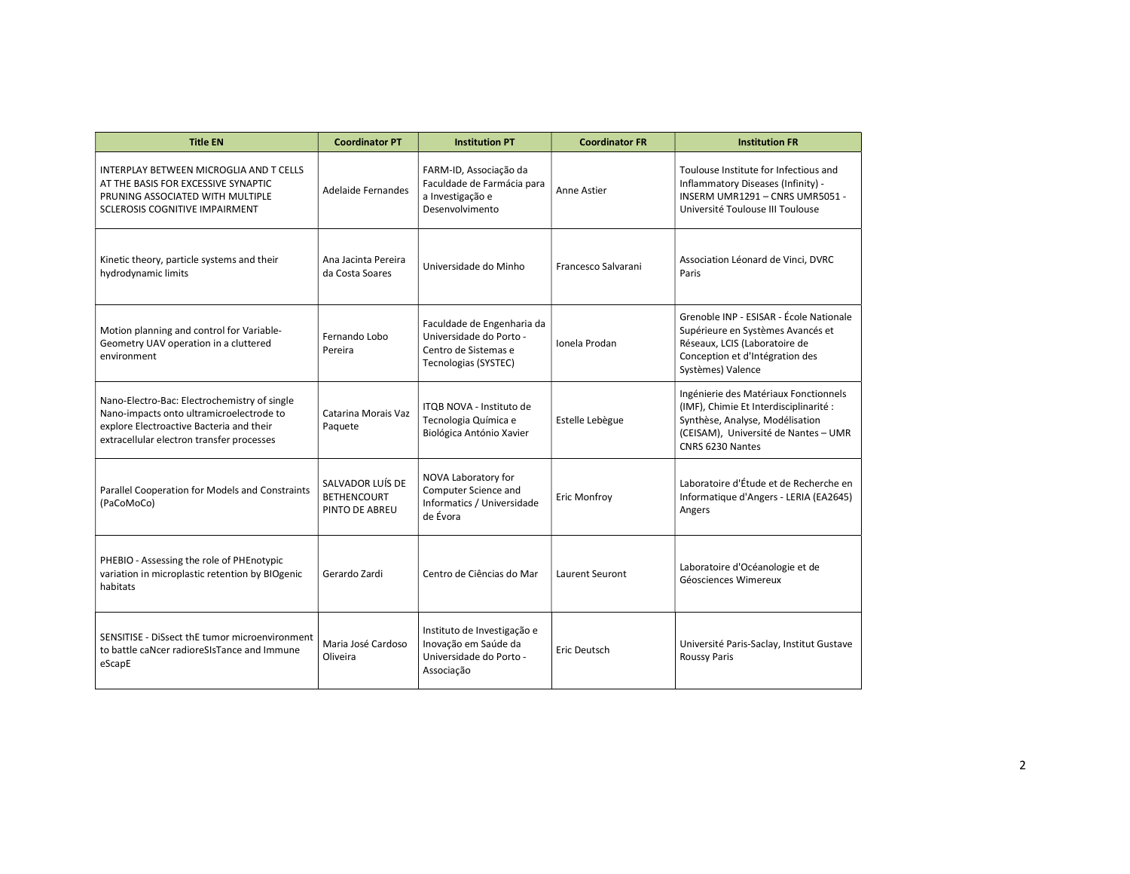| <b>Title EN</b>                                                                                                                                                                   | <b>Coordinator PT</b>                                    | <b>Institution PT</b>                                                                                 | <b>Coordinator FR</b> | <b>Institution FR</b>                                                                                                                                                          |
|-----------------------------------------------------------------------------------------------------------------------------------------------------------------------------------|----------------------------------------------------------|-------------------------------------------------------------------------------------------------------|-----------------------|--------------------------------------------------------------------------------------------------------------------------------------------------------------------------------|
| INTERPLAY BETWEEN MICROGLIA AND T CELLS<br>AT THE BASIS FOR EXCESSIVE SYNAPTIC<br>PRUNING ASSOCIATED WITH MULTIPLE<br><b>SCLEROSIS COGNITIVE IMPAIRMENT</b>                       | Adelaide Fernandes                                       | FARM-ID, Associação da<br>Faculdade de Farmácia para<br>a Investigação e<br>Desenvolvimento           | Anne Astier           | Toulouse Institute for Infectious and<br>Inflammatory Diseases (Infinity) -<br>INSERM UMR1291 - CNRS UMR5051 -<br>Université Toulouse III Toulouse                             |
| Kinetic theory, particle systems and their<br>hydrodynamic limits                                                                                                                 | Ana Jacinta Pereira<br>da Costa Soares                   | Universidade do Minho                                                                                 | Francesco Salvarani   | Association Léonard de Vinci, DVRC<br>Paris                                                                                                                                    |
| Motion planning and control for Variable-<br>Geometry UAV operation in a cluttered<br>environment                                                                                 | Fernando Lobo<br>Pereira                                 | Faculdade de Engenharia da<br>Universidade do Porto -<br>Centro de Sistemas e<br>Tecnologias (SYSTEC) | Ionela Prodan         | Grenoble INP - ESISAR - École Nationale<br>Supérieure en Systèmes Avancés et<br>Réseaux, LCIS (Laboratoire de<br>Conception et d'Intégration des<br>Systèmes) Valence          |
| Nano-Electro-Bac: Electrochemistry of single<br>Nano-impacts onto ultramicroelectrode to<br>explore Electroactive Bacteria and their<br>extracellular electron transfer processes | Catarina Morais Vaz<br>Paquete                           | ITQB NOVA - Instituto de<br>Tecnologia Química e<br>Biológica António Xavier                          | Estelle Lebègue       | Ingénierie des Matériaux Fonctionnels<br>(IMF), Chimie Et Interdisciplinarité :<br>Synthèse, Analyse, Modélisation<br>(CEISAM), Université de Nantes - UMR<br>CNRS 6230 Nantes |
| Parallel Cooperation for Models and Constraints<br>(PaCoMoCo)                                                                                                                     | SALVADOR LUÍS DE<br><b>BETHENCOURT</b><br>PINTO DE ABREU | NOVA Laboratory for<br>Computer Science and<br>Informatics / Universidade<br>de Évora                 | Eric Monfroy          | Laboratoire d'Étude et de Recherche en<br>Informatique d'Angers - LERIA (EA2645)<br>Angers                                                                                     |
| PHEBIO - Assessing the role of PHEnotypic<br>variation in microplastic retention by BIOgenic<br>habitats                                                                          | Gerardo Zardi                                            | Centro de Ciências do Mar                                                                             | Laurent Seuront       | Laboratoire d'Océanologie et de<br>Géosciences Wimereux                                                                                                                        |
| SENSITISE - DiSsect thE tumor microenvironment<br>to battle caNcer radioreSIsTance and Immune<br>eScapE                                                                           | Maria José Cardoso<br>Oliveira                           | Instituto de Investigação e<br>Inovação em Saúde da<br>Universidade do Porto -<br>Associação          | Eric Deutsch          | Université Paris-Saclay, Institut Gustave<br><b>Roussy Paris</b>                                                                                                               |